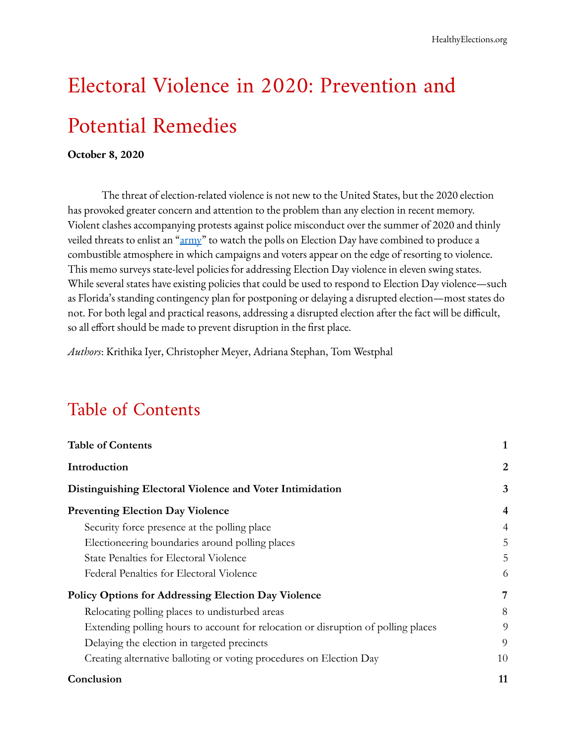# Electoral Violence in 2020: Prevention and Potential Remedies

#### **October 8, 2020**

The threat of election-related violence is not new to the United States, but the 2020 election has provoked greater concern and attention to the problem than any election in recent memory. Violent clashes accompanying protests against police misconduct over the summer of 2020 and thinly veiled threats to enlist an ["army](https://www.nbcnews.com/politics/donald-trump/gop-recruits-army-poll-watchers-fight-voter-fraud-no-can-n1217391)" to watch the polls on Election Day have combined to produce a combustible atmosphere in which campaigns and voters appear on the edge of resorting to violence. This memo surveys state-level policies for addressing Election Day violence in eleven swing states. While several states have existing policies that could be used to respond to Election Day violence—such as Florida's standing contingency plan for postponing or delaying a disrupted election—most states do not. For both legal and practical reasons, addressing a disrupted election after the fact will be difficult, so all effort should be made to prevent disruption in the first place.

*Authors*: Krithika Iyer, Christopher Meyer, Adriana Stephan, Tom Westphal

## <span id="page-0-0"></span>Table of Contents

| <b>Table of Contents</b>                                                          |    |
|-----------------------------------------------------------------------------------|----|
| Introduction                                                                      | 2  |
| Distinguishing Electoral Violence and Voter Intimidation                          | 3  |
| <b>Preventing Election Day Violence</b>                                           | 4  |
| Security force presence at the polling place                                      | 4  |
| Electioneering boundaries around polling places                                   | 5  |
| State Penalties for Electoral Violence                                            | 5  |
| Federal Penalties for Electoral Violence                                          | 6  |
| <b>Policy Options for Addressing Election Day Violence</b>                        | 7  |
| Relocating polling places to undisturbed areas                                    | 8  |
| Extending polling hours to account for relocation or disruption of polling places | 9  |
| Delaying the election in targeted precincts                                       | 9  |
| Creating alternative balloting or voting procedures on Election Day               | 10 |
| Conclusion                                                                        | 11 |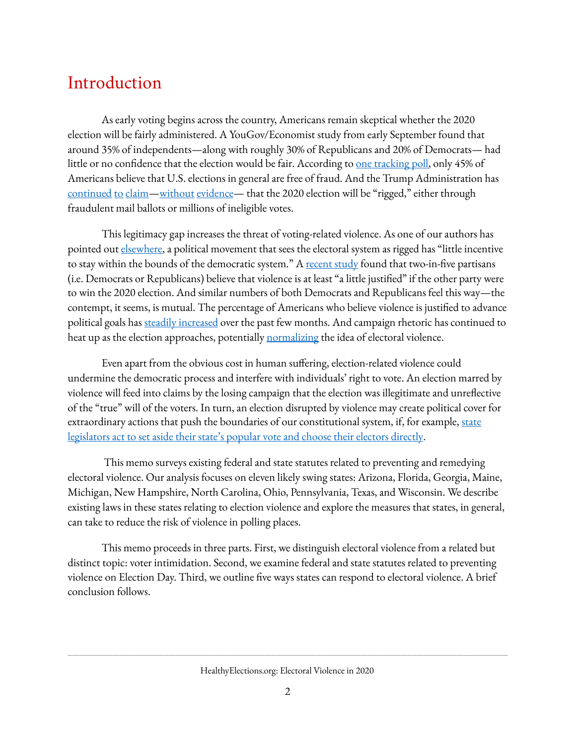## <span id="page-1-0"></span>Introduction

As early voting begins across the country, Americans remain skeptical whether the 2020 election will be fairly administered. A YouGov/Economist study from early September found that around 35% of independents—along with roughly 30% of Republicans and 20% of Democrats— had little [o](https://www.latimes.com/politics/story/2020-06-01/trump-strongman-playbook-discredit-elections)r no confidence that the election would be fair. According to <u>one [tracking](https://www.latimes.com/politics/story/2020-06-01/trump-strongman-playbook-discredit-elections) poll</u>, only 45% of Americans believe that U.S. elections in general are free of fraud. And the Trump Administration ha[s](https://www.nytimes.com/2020/05/24/us/politics/trump-2020-election-voting-rights.html) [continued](https://www.nytimes.com/2020/05/24/us/politics/trump-2020-election-voting-rights.html) [to](https://www.politico.com/news/2020/07/31/trump-rigged-election-campaign-strategy-388884) [claim](https://thehill.com/homenews/administration/512424-trump-the-only-way-we-are-going-to-lose-this-election-is-if-the)—[without](https://www.nytimes.com/article/mail-in-vote-fraud-ballot.html) [evidence](https://www.npr.org/2020/06/22/881598655/fact-check-trump-spreads-unfounded-claims-about-voting-by-mail)— that the 2020 election will be "rigged," either through fraudulent mail ballots or millions of ineligible votes.

This legitimacy gap increases the threat of voting-related violence. As one of our authors has pointed out [elsewhere](https://www.the-american-interest.com/2020/06/19/the-danger-of-electoral-violence-in-the-united-states/), a political movement that sees the electoral system as rigged has "little incentive to stay within the bounds of the democratic system." A [recent](https://www.politico.com/news/magazine/2020/10/01/political-violence-424157) study found that two-in-five partisans (i.e. Democrats or Republicans) believe that violence is at least "a little justified" if the other party were to win the 2020 election. And similar numbers of both Democrats and Republicans feel this way—the contempt, it seems, is mutual. The percentage of Americans who believe violence is justified to advance political goals has steadily [increased](https://www.politico.com/news/magazine/2020/10/01/political-violence-424157) over the past few months. And campaign rhetoric has continued to heat up as the election approaches, potentially [normalizing](https://www.businessinsider.com/trump-is-normalizing-possibility-of-violence-surrounding-2020-election-2020-9) the idea of electoral violence.

Even apart from the obvious cost in human suffering, election-related violence could undermine the democratic process and interfere with individuals' right to vote. An election marred by violence will feed into claims by the losing campaign that the election was illegitimate and unreflective of the "true" will of the voters. In turn, an election disrupted by violence may create political cover for extraordinary actions that push the boundaries of our constitutional system[,](https://www.theatlantic.com/magazine/archive/2020/11/what-if-trump-refuses-concede/616424/) if, for example, [state](https://www.theatlantic.com/magazine/archive/2020/11/what-if-trump-refuses-concede/616424/) [legislators](https://www.theatlantic.com/magazine/archive/2020/11/what-if-trump-refuses-concede/616424/) act to set aside their state's popular vote and choose their electors directly.

This memo surveys existing federal and state statutes related to preventing and remedying electoral violence. Our analysis focuses on eleven likely swing states: Arizona, Florida, Georgia, Maine, Michigan, New Hampshire, North Carolina, Ohio, Pennsylvania, Texas, and Wisconsin. We describe existing laws in these states relating to election violence and explore the measures that states, in general, can take to reduce the risk of violence in polling places.

This memo proceeds in three parts. First, we distinguish electoral violence from a related but distinct topic: voter intimidation. Second, we examine federal and state statutes related to preventing violence on Election Day. Third, we outline five ways states can respond to electoral violence. A brief conclusion follows.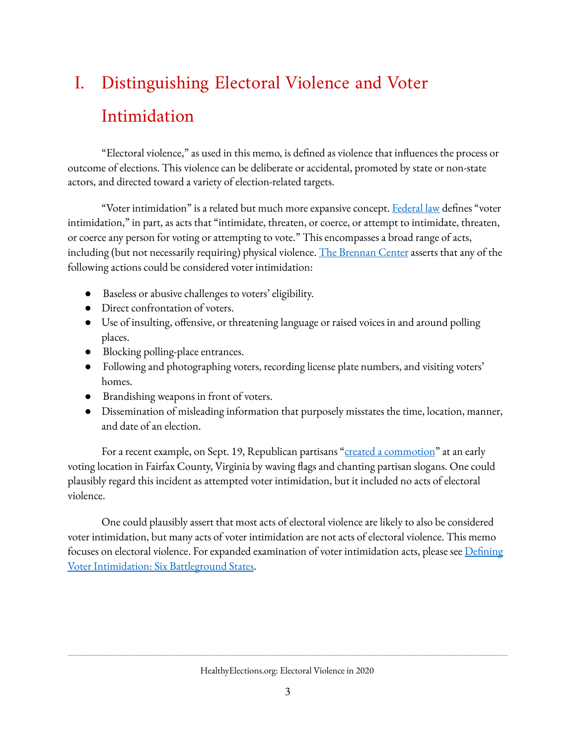## <span id="page-2-0"></span>I. Distinguishing Electoral Violence and Voter Intimidation

"Electoral violence," as used in this memo, is defined as violence that influences the process or outcome of elections. This violence can be deliberate or accidental, promoted by state or non-state actors, and directed toward a variety of election-related targets.

"Voter intimidation" is a related but much more expansive concept. [Federal](https://www.law.cornell.edu/uscode/text/52/10307) law defines "voter intimidation," in part, as acts that "intimidate, threaten, or coerce, or attempt to intimidate, threaten, or coerce any person for voting or attempting to vote." This encompasses a broad range of acts, including (but not necessarily requiring) physical violence. The [Brennan](https://www.brennancenter.org/sites/default/files/analysis/Briefing_Memo_Ballot_Security_Voter_Intimidation.pdf) Center asserts that any of the following actions could be considered voter intimidation:

- Baseless or abusive challenges to voters' eligibility.
- Direct confrontation of voters.
- $\bullet$  Use of insulting, offensive, or threatening language or raised voices in and around polling places.
- Blocking polling-place entrances.
- Following and photographing voters, recording license plate numbers, and visiting voters' homes.
- Brandishing weapons in front of voters.
- Dissemination of misleading information that purposely misstates the time, location, manner, and date of an election.

For a recent example, on Sept. 19, Republican partisans "created a [commotion"](https://www.nytimes.com/2020/09/19/us/politics/trump-supporters-early-voting-virginia.html?login=smartlock&auth=login-smartlock) at an early voting location in Fairfax County, Virginia by waving flags and chanting partisan slogans. One could plausibly regard this incident as attempted voter intimidation, but it included no acts of electoral violence.

One could plausibly assert that most acts of electoral violence are likely to also be considered voter intimidation, but many acts of voter intimidation are not acts of electoral violence. This memo focuses on electoral violence. For expanded examination of voter intimidation acts, please see Defining Voter [Intimidation:](https://healthyelections.org/sites/default/files/2020-10/Voter_Intimidation.pdf) Six Battleground States.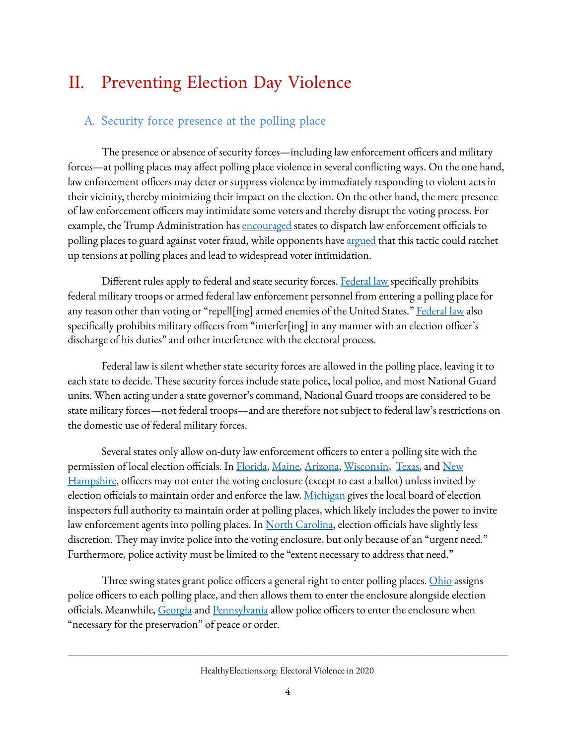## <span id="page-3-0"></span>II. Preventing Election Day Violence

#### <span id="page-3-1"></span>A. Security force presence at the polling place

The presence or absence of security forces—including law enforcement officers and military forces—at polling places may affect polling place violence in several conflicting ways. On the one hand, law enforcement officers may deter or suppress violence by immediately responding to violent acts in their vicinity, thereby minimizing their impact on the election. On the other hand, the mere presence of law enforcement officers may intimidate some voters and thereby disrupt the voting process. For example, the Trump Admini[s](https://www.vox.com/2020/8/22/21397092/trump-law-enforcement-police-polls-voting-2020)tration has **[encouraged](https://www.vox.com/2020/8/22/21397092/trump-law-enforcement-police-polls-voting-2020)** states to dispatch law enforcement officials to polling places to guard against voter fraud, while opponents have argued that this tactic could ratchet up tensions at polling places and lead to widespread voter intimidation.

Different rules apply to federal and state security forces[.](https://www.law.cornell.edu/uscode/text/18/592) [Federal](https://www.law.cornell.edu/uscode/text/18/592) law specifically prohibits federal military troops or armed federal law enforcement personnel from entering a polling place for any reason other than voting or ["](https://www.law.cornell.edu/uscode/text/18/593)repell[ing] armed enemies of the United States." [Federal](https://www.law.cornell.edu/uscode/text/18/593) law also specifically prohibits military officers from "interfer[ing] in any manner with an election officer's discharge of his duties" and other interference with the electoral process.

Federal law is silent whether state security forces are allowed in the polling place, leaving it to each state to decide. These security forces include state police, local police, and most National Guard units. When acting under a state governor's command, National Guard troops are considered to be state military forces—not federal troops—and are therefore not subject to federal law's restrictions on the domestic use of federal military forces.

Several states only allow on-duty law enforcement officers to enter a polling site with the permission of local election officials. In [Florida](http://www.leg.state.fl.us/statutes/index.cfm?App_mode=Display_Statute&Search_String=&URL=0100-0199/0102/Sections/0102.101.html), [Maine,](https://www.mainelegislature.org/legis/statutes/21-A/title21-Asec681.html) [Arizona,](https://www.azleg.gov/ars/16/00562.htm) [Wisconsin](https://docs.legis.wisconsin.gov/statutes/statutes/7/i/37/2), [Texas,](https://texas.public.law/statutes/tex._election_code_section_32.075) an[d](http://www.gencourt.state.nh.us/rsa/html/LXIII/659/659-21.htm) [New](http://www.gencourt.state.nh.us/rsa/html/LXIII/659/659-21.htm) [Hampshire,](http://www.gencourt.state.nh.us/rsa/html/LXIII/659/659-21.htm) officers may not enter the voting enclosure (except to cast a ballot) unless invited by election officials to maintain order and enforce the law. [Michigan](http://www.legislature.mi.gov/(S(yhb1dfp4kxwmsgdlmqsnnetj))/mileg.aspx?page=GetMCLDocument&objectname=mcl-168-678) gives the local board of election inspectors full authority to maintain order at polling places, which likely includes the power to invite law enforcement agents into polling places. In North [Carolina](https://www.ncleg.gov/EnactedLegislation/Statutes/HTML/BySection/Chapter_163/GS_163-166.3.html), election officials have slightly less discretion. They may invite police into the voting enclosure, but only because of an "urgent need." Furthermore, police activity must be limited to the "extent necessary to address that need."

Three swing states grant police officers a general right to enter polling places. [Ohio](http://codes.ohio.gov/orc/3501.35) assigns police officers to each polling place, and then allows them to enter the enclosure alongside election officials. Meanwhile, [Georgia](https://codes.findlaw.com/ga/title-21-elections/ga-code-sect-21-2-413.html) and [Pennsylvania](https://codes.findlaw.com/pa/title-25-ps-elections-electoral-districts/pa-st-sect-25-3060.html) allow police officers to enter the enclosure when "necessary for the preservation" of peace or order.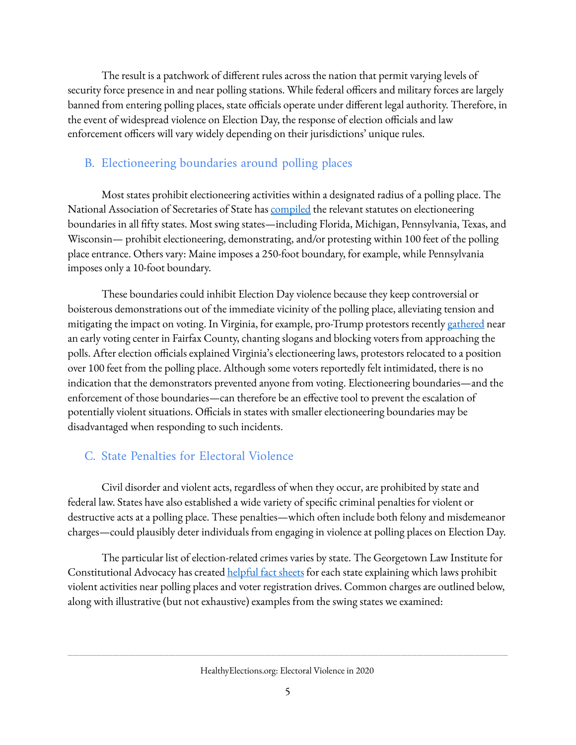The result is a patchwork of different rules across the nation that permit varying levels of security force presence in and near polling stations. While federal officers and military forces are largely banned from entering polling places, state officials operate under different legal authority. Therefore, in the event of widespread violence on Election Day, the response of election officials and law enforcement officers will vary widely depending on their jurisdictions' unique rules.

#### <span id="page-4-0"></span>B. Electioneering boundaries around polling places

Most states prohibit electioneering activities within a designated radius of a polling place. The National Association of Secretaries of State has **[compiled](https://www.nass.org/sites/default/files/surveys/2017-10/state-laws-polling-place-electioneering-2016.pdf)** the relevant statutes on electioneering boundaries in all fifty states. Most swing states—including Florida, Michigan, Pennsylvania, Texas, and Wisconsin— prohibit electioneering, demonstrating, and/or protesting within 100 feet of the polling place entrance. Others vary: Maine imposes a 250-foot boundary, for example, while Pennsylvania imposes only a 10-foot boundary.

These boundaries could inhibit Election Day violence because they keep controversial or boisterous demonstrations out of the immediate vicinity of the polling place, alleviating tension and mitigating the impact on voting. In Virginia, for example, pro-Trump protestors recentl[y](https://www.nytimes.com/2020/09/19/us/politics/trump-supporters-early-voting-virginia.html) [gathered](https://www.nytimes.com/2020/09/19/us/politics/trump-supporters-early-voting-virginia.html) near an early voting center in Fairfax County, chanting slogans and blocking voters from approaching the polls. After election officials explained Virginia's electioneering laws, protestors relocated to a position over 100 feet from the polling place. Although some voters reportedly felt intimidated, there is no indication that the demonstrators prevented anyone from voting. Electioneering boundaries—and the enforcement of those boundaries—can therefore be an effective tool to prevent the escalation of potentially violent situations. Officials in states with smaller electioneering boundaries may be disadvantaged when responding to such incidents.

#### <span id="page-4-1"></span>C. State Penalties for Electoral Violence

Civil disorder and violent acts, regardless of when they occur, are prohibited by state and federal law. States have also established a wide variety of specific criminal penalties for violent or destructive acts at a polling place. These penalties—which often include both felony and misdemeanor charges—could plausibly deter individuals from engaging in violence at polling places on Election Day.

The particular list of election-related crimes varies by state. The Georgetown Law Institute for Constitutional A[d](https://www.law.georgetown.edu/icap/our-work/addressing-the-rise-of-unlawful-private-paramilitaries/state-fact-sheets/)vocacy has created [helpful](https://www.law.georgetown.edu/icap/our-work/addressing-the-rise-of-unlawful-private-paramilitaries/state-fact-sheets/) fact sheets for each state explaining which laws prohibit violent activities near polling places and voter registration drives. Common charges are outlined below, along with illustrative (but not exhaustive) examples from the swing states we examined: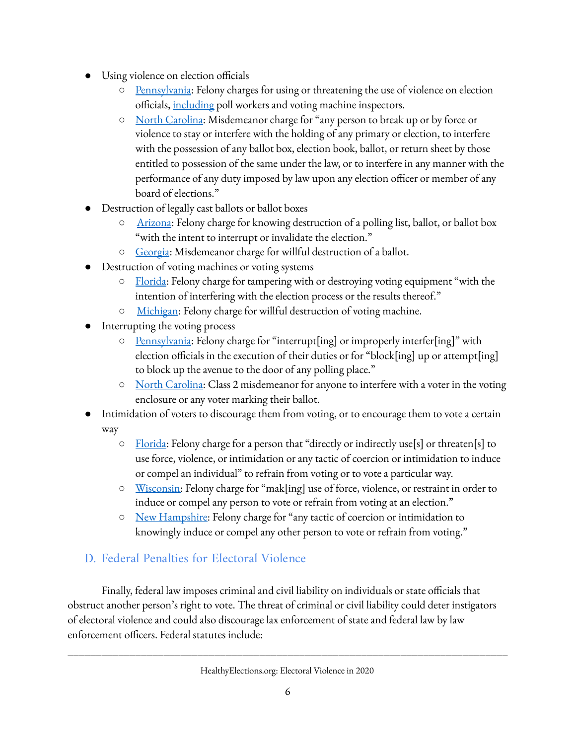- Using violence on election officials
	- [Pennsylvania](https://codes.findlaw.com/pa/title-25-ps-elections-electoral-districts/pa-st-sect-25-3527.html): Felony charges for using or threatening the use of violence on election officials, [including](https://casetext.com/statute/pennsylvania-statutes/statutes-unconsolidated/title-25-ps-elections-electoral-districts/chapter-14-election-code/article-i-preliminary-provisions/section-2602-definitions) poll workers and voting machine inspectors.
	- North [Carolina:](https://law.onecle.com/north-carolina/163-elections-and-election-laws/163-274.html) Misdemeanor charge for "any person to break up or by force or violence to stay or interfere with the holding of any primary or election, to interfere with the possession of any ballot box, election book, ballot, or return sheet by those entitled to possession of the same under the law, or to interfere in any manner with the performance of any duty imposed by law upon any election officer or member of any board of elections."
- Destruction of legally cast ballots or ballot boxes
	- [Arizona](https://www.azleg.gov/ars/16/01016.htm): Felony charge for knowing destruction of a polling list, ballot, or ballot box "with the intent to interrupt or invalidate the election."
	- [Georgia](https://law.justia.com/codes/georgia/2010/title-21/chapter-2/article-15/21-2-576/): Misdemeanor charge for willful destruction of a ballot.
- Destruction of voting machines or voting systems
	- [Florida:](https://casetext.com/statute/florida-statutes/title-ix-electors-and-elections/chapter-104-election-code-violations-penalties/section-10430-voting-system-unlawful-possession-tampering) Felony charge for tampering with or destroying voting equipment "with the intention of interfering with the election process or the results thereof."
	- [Michigan:](http://www.legislature.mi.gov/(S(4wbbeakhp2i1ssds2hheaf2e))/mileg.aspx?page=GetObject&objectname=mcl-168-932) Felony charge for willful destruction of voting machine.
- Interrupting the voting process
	- [Pennsylvania](https://codes.findlaw.com/pa/title-25-ps-elections-electoral-districts/pa-st-sect-25-3527.html): Felony charge for "interrupt[ing] or improperly interfer[ing]" with election officials in the execution of their duties or for "block[ing] up or attempt[ing] to block up the avenue to the door of any polling place."
	- North [Carolina:](https://law.onecle.com/north-carolina/163-elections-and-election-laws/163-273.html) Class 2 misdemeanor for anyone to interfere with a voter in the voting enclosure or any voter marking their ballot.
- Intimidation of voters to discourage them from voting, or to encourage them to vote a certain way
	- [Florida:](https://law.justia.com/codes/florida/2019/title-ix/chapter-104/section-104-0615/) Felony charge for a person that "directly or indirectly use[s] or threaten[s] to use force, violence, or intimidation or any tactic of coercion or intimidation to induce or compel an individual" to refrain from voting or to vote a particular way.
	- [Wisconsin:](https://docs.legis.wisconsin.gov/statutes/statutes/12/60) Felony charge for "mak[ing] use of force, violence, or restraint in order to induce or compel any person to vote or refrain from voting at an election."
	- New [Hampshire](https://law.justia.com/codes/new-hampshire/2015/title-lxiii/chapter-659/section-659-40/): Felony charge for "any tactic of coercion or intimidation to knowingly induce or compel any other person to vote or refrain from voting."

#### <span id="page-5-0"></span>D. Federal Penalties for Electoral Violence

Finally, federal law imposes criminal and civil liability on individuals or state officials that obstruct another person's right to vote. The threat of criminal or civil liability could deter instigators of electoral violence and could also discourage lax enforcement of state and federal law by law enforcement officers. Federal statutes include: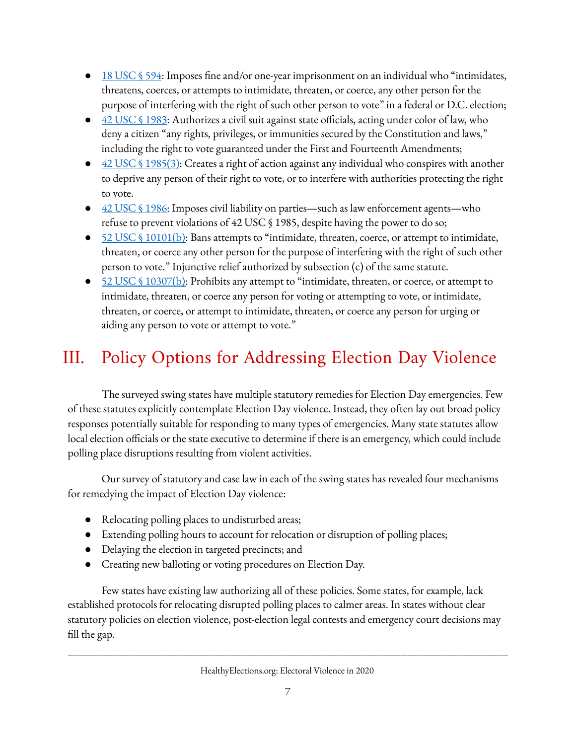- 18 [USC](https://www.law.cornell.edu/uscode/text/18/594) § 594: Imposes fine and/or one-year imprisonment on an individual who "intimidates, threatens, coerces, or attempts to intimidate, threaten, or coerce, any other person for the purpose of interfering with the right of such other person to vote" in a federal or D.C. election;
- $\bullet$  42 USC § [1983:](https://www.law.cornell.edu/uscode/text/42/1983) Authorizes a civil suit against state officials, acting under color of law, who deny a citizen "any rights, privileges, or immunities secured by the Constitution and laws," including the right to vote guaranteed under the First and Fourteenth Amendments;
- 42 USC § [1985\(3\)](https://www.law.cornell.edu/uscode/text/42/1985): Creates a right of action against any individual who conspires with another to deprive any person of their right to vote, or to interfere with authorities protecting the right to vote.
- 42 USC § [1986:](https://www.law.cornell.edu/uscode/text/42/1986) Imposes civil liability on parties—such as law enforcement agents—who refuse to prevent violations of 42 USC § 1985, despite having the power to do so;
- $\bullet$  52 USC § [10101\(b\)](https://uscode.house.gov/view.xhtml?req=(title:52%20section:10101%20edition:prelim)): Bans attempts to "intimidate, threaten, coerce, or attempt to intimidate, threaten, or coerce any other person for the purpose of interfering with the right of such other person to vote." Injunctive relief authorized by subsection (c) of the same statute.
- 52 USC § [10307\(b\)](https://uscode.house.gov/view.xhtml?hl=false&edition=prelim&req=granuleid%3AUSC-prelim-title52-section10307&num=0&saved=%7CKHRpdGxlOjUyIHNlY3Rpb246MTAzMDcgZWRpdGlvbjpwcmVsaW0p%7C%7C%7C0%7Cfalse%7Cprelim): Prohibits any attempt to "intimidate, threaten, or coerce, or attempt to intimidate, threaten, or coerce any person for voting or attempting to vote, or intimidate, threaten, or coerce, or attempt to intimidate, threaten, or coerce any person for urging or aiding any person to vote or attempt to vote."

## <span id="page-6-0"></span>III. Policy Options for Addressing Election Day Violence

The surveyed swing states have multiple statutory remedies for Election Day emergencies. Few of these statutes explicitly contemplate Election Day violence. Instead, they often lay out broad policy responses potentially suitable for responding to many types of emergencies. Many state statutes allow local election officials or the state executive to determine if there is an emergency, which could include polling place disruptions resulting from violent activities.

Our survey of statutory and case law in each of the swing states has revealed four mechanisms for remedying the impact of Election Day violence:

- Relocating polling places to undisturbed areas;
- Extending polling hours to account for relocation or disruption of polling places;
- Delaying the election in targeted precincts; and
- Creating new balloting or voting procedures on Election Day.

Few states have existing law authorizing all of these policies. Some states, for example, lack established protocols for relocating disrupted polling places to calmer areas. In states without clear statutory policies on election violence, post-election legal contests and emergency court decisions may fill the gap.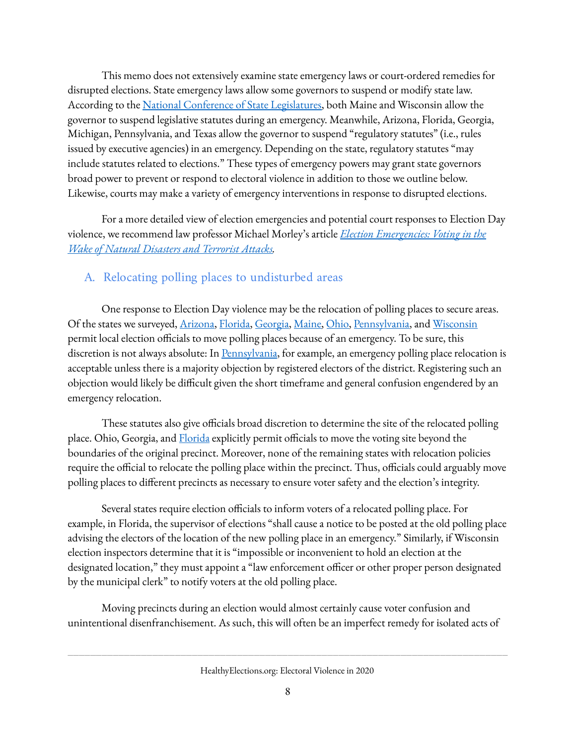This memo does not extensively examine state emergency laws or court-ordered remedies for disrupted elections. State emergency laws allow some governors to suspend or modify state law. According to the [N](https://www.ncsl.org/research/elections-and-campaigns/election-emergencies.aspx)ational Conference of State [Legislatures,](https://www.ncsl.org/research/elections-and-campaigns/election-emergencies.aspx) both Maine and Wisconsin allow the governor to suspend legislative statutes during an emergency. Meanwhile, Arizona, Florida, Georgia, Michigan, Pennsylvania, and Texas allow the governor to suspend "regulatory statutes" (i.e., rules issued by executive agencies) in an emergency. Depending on the state, regulatory statutes "may include statutes related to elections." These types of emergency powers may grant state governors broad power to prevent or respond to electoral violence in addition to those we outline below. Likewise, courts may make a variety of emergency interventions in response to disrupted elections.

For a more detailed view of election emergencies and potential court responses to Election Day violence, we recommend law professor Michael Morley's article *Election [Emergencies:](https://law.emory.edu/elj/_documents/volumes/67/3/morley.pdf) Voting in the Wake of Natural [Disasters](https://law.emory.edu/elj/_documents/volumes/67/3/morley.pdf) and Terrorist Attacks.*

#### <span id="page-7-0"></span>A. Relocating polling places to undisturbed areas

One response to Election Day violence may be the relocation of polling places to secure areas. Of the states we surveyed, [Arizona,](https://law.justia.com/codes/arizona/2013/title-16/section-16-564/) [Florida](http://www.leg.state.fl.us/Statutes/index.cfm?App_mode=Display_Statute&Search_String=&URL=0100-0199/0101/Sections/0101.71.html)[,](https://codes.ohio.gov/orc/3501.18) [Georgia,](https://law.justia.com/codes/georgia/2010/title-21/chapter-2/article-7/21-2-265/) [Maine](https://legislature.maine.gov/statutes/21-A/title21-Asec631-A.html), [Ohio](https://codes.ohio.gov/orc/3501.18), [Pennsylvania](https://codes.findlaw.com/pa/title-25-ps-elections-electoral-districts/pa-st-sect-25-2726.html), and [Wisconsin](https://docs.legis.wisconsin.gov/statutes/statutes/7/i/37) permit local election officials to move polling places because of an emergency. To be sure, this discretion is not always absolute: In [Pennsylvania,](https://codes.findlaw.com/pa/title-25-ps-elections-electoral-districts/pa-st-sect-25-2726.html) for example, an emergency polling place relocation is acceptable unless there is a majority objection by registered electors of the district. Registering such an objection would likely be difficult given the short timeframe and general confusion engendered by an emergency relocation.

These statutes also give officials broad discretion to determine the site of the relocated polling place. Ohio, Georgia, and **[Florida](https://www.flsenate.gov/Laws/Statutes/2018/101.74)** explicitly permit officials to move the voting site beyond the boundaries of the original precinct. Moreover, none of the remaining states with relocation policies require the official to relocate the polling place within the precinct. Thus, officials could arguably move polling places to different precincts as necessary to ensure voter safety and the election's integrity.

Several states require election officials to inform voters of a relocated polling place. For example, in Florida, the supervisor of elections "shall cause a notice to be posted at the old polling place advising the electors of the location of the new polling place in an emergency." Similarly, if Wisconsin election inspectors determine that it is "impossible or inconvenient to hold an election at the designated location," they must appoint a "law enforcement officer or other proper person designated by the municipal clerk" to notify voters at the old polling place.

Moving precincts during an election would almost certainly cause voter confusion and unintentional disenfranchisement. As such, this will often be an imperfect remedy for isolated acts of

HealthyElections.org: Electoral Violence in 2020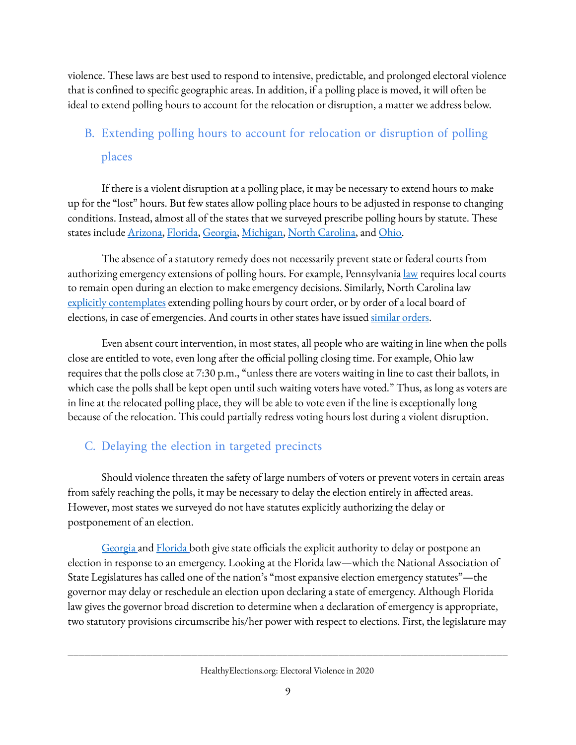violence. These laws are best used to respond to intensive, predictable, and prolonged electoral violence that is confined to specific geographic areas. In addition, if a polling place is moved, it will often be ideal to extend polling hours to account for the relocation or disruption, a matter we address below.

### <span id="page-8-0"></span>B. Extending polling hours to account for relocation or disruption of polling places

If there is a violent disruption at a polling place, it may be necessary to extend hours to make up for the "lost" hours. But few states allow polling place hours to be adjusted in response to changing conditions. Instead, almost all of the states that we surveyed prescribe polling hours by statute. These states include [Arizona](https://law.justia.com/codes/arizona/2018/title-16/section-16-565/), [Florida,](http://www.leg.state.fl.us/statutes/index.cfm?App_mode=Display_Statute&Search_String=&URL=0100-0199/0100/Sections/0100.011.html) [Georgia](https://law.justia.com/codes/georgia/2010/title-21/chapter-2/article-11/part-1/21-2-403)[,](http://www.legislature.mi.gov/(S(3qddvgymzbz0ylzxqeydi4e0))/mileg.aspx?page=getObject&objectName=mcl-168-720) [Michigan,](http://www.legislature.mi.gov/(S(3qddvgymzbz0ylzxqeydi4e0))/mileg.aspx?page=getObject&objectName=mcl-168-720) North [Carolina,](https://www.ncleg.gov/enactedlegislation/statutes/pdf/bysection/chapter_163/gs_163-166.01.pdf) an[d](https://codes.ohio.gov/orc/3501.32) [Ohio.](https://codes.ohio.gov/orc/3501.32)

The absence of a statutory remedy does not necessarily prevent state or federal courts from authorizing emergency extensions of polling hours. For example, Pennsylvania [law](https://codes.findlaw.com/pa/title-25-ps-elections-electoral-districts/pa-st-sect-25-3046.html) requires local courts to remain open during an election to make emergency decisions. Similarly, North Carolina law explicitly [contemplates](https://www.ncleg.gov/enactedlegislation/statutes/pdf/bysection/chapter_163/gs_163-166.01.pdf) extending polling hours by court order, or by order of a local board of elections, in case of emergencies. And courts in other states have issued [similar](https://law.emory.edu/elj/_documents/volumes/67/3/morley.pdf) orders.

Even absent court intervention, in most states, all people who are waiting in line when the polls close are entitled to vote, even long after the official polling closing time. For example, Ohio law requires that the polls close at 7:30 p.m., "unless there are voters waiting in line to cast their ballots, in which case the polls shall be kept open until such waiting voters have voted." Thus, as long as voters are in line at the relocated polling place, they will be able to vote even if the line is exceptionally long because of the relocation. This could partially redress voting hours lost during a violent disruption.

#### <span id="page-8-1"></span>C. Delaying the election in targeted precincts

Should violence threaten the safety of large numbers of voters or prevent voters in certain areas from safely reaching the polls, it may be necessary to delay the election entirely in affected areas. However, most states we surveyed do not have statutes explicitly authorizing the delay or postponement of an election.

[Georgia](https://codes.findlaw.com/ga/title-21-elections/ga-code-sect-21-2-50-1.html) and [Florida](http://www.leg.state.fl.us/Statutes/index.cfm?App_mode=Display_Statute&Search_String=&URL=0100-0199/0101/Sections/0101.733.html) both give state officials the explicit authority to delay or postpone an election in response to an emergency. Looking at the Florida law—which the National Association of State Legislatures has called one of the nation's "most expansive election emergency statutes"—the governor may delay or reschedule an election upon declaring a state of emergency. Although Florida law gives the governor broad discretion to determine when a declaration of emergency is appropriate, two statutory provisions circumscribe his/her power with respect to elections. First, the legislature may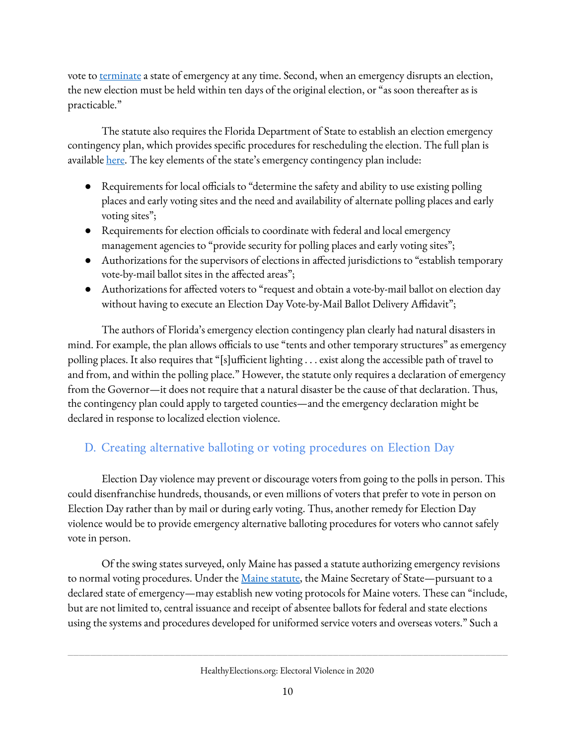vote to [terminate](https://www.flsenate.gov/Laws/Statutes/2011/252.36#:~:text=(2)%20A%20state%20of%20emergency,the%20threat%20thereof%20is%20imminent.) a state of emergency at any time. Second, when an emergency disrupts an election, the new election must be held within ten days of the original election, or "as soon thereafter as is practicable."

The statute also requires the Florida Department of State to establish an election emergency contingency plan, which provides specific procedures for rescheduling the election. The full plan is availabl[e](https://www.flrules.org/gateway/RuleNo.asp?title=ELECTIONS%20EMERGENCY%20CONTINGENCY%20PLAN&ID=1S-9.005) [here.](https://www.flrules.org/gateway/RuleNo.asp?title=ELECTIONS%20EMERGENCY%20CONTINGENCY%20PLAN&ID=1S-9.005) The key elements of the state's emergency contingency plan include:

- Requirements for local officials to "determine the safety and ability to use existing polling places and early voting sites and the need and availability of alternate polling places and early voting sites";
- Requirements for election officials to coordinate with federal and local emergency management agencies to "provide security for polling places and early voting sites";
- Authorizations for the supervisors of elections in affected jurisdictions to "establish temporary vote-by-mail ballot sites in the affected areas";
- Authorizations for affected voters to "request and obtain a vote-by-mail ballot on election day without having to execute an Election Day Vote-by-Mail Ballot Delivery Affidavit";

The authors of Florida's emergency election contingency plan clearly had natural disasters in mind. For example, the plan allows officials to use "tents and other temporary structures" as emergency polling places. It also requires that "[s]ufficient lighting . . . exist along the accessible path of travel to and from, and within the polling place." However, the statute only requires a declaration of emergency from the Governor—it does not require that a natural disaster be the cause of that declaration. Thus, the contingency plan could apply to targeted counties—and the emergency declaration might be declared in response to localized election violence.

#### <span id="page-9-0"></span>D. Creating alternative balloting or voting procedures on Election Day

Election Day violence may prevent or discourage voters from going to the polls in person. This could disenfranchise hundreds, thousands, or even millions of voters that prefer to vote in person on Election Day rather than by mail or during early voting. Thus, another remedy for Election Day violence would be to provide emergency alternative balloting procedures for voters who cannot safely vote in person.

Of the swing states surveyed, only Maine has passed a statute authorizing emergency revisions to normal voting procedures. Under the Maine [statute,](https://legislature.maine.gov/statutes/21-A/title21-Asec663.html) the Maine Secretary of State—pursuant to a declared state of emergency—may establish new voting protocols for Maine voters. These can "include, but are not limited to, central issuance and receipt of absentee ballots for federal and state elections using the systems and procedures developed for uniformed service voters and overseas voters." Such a